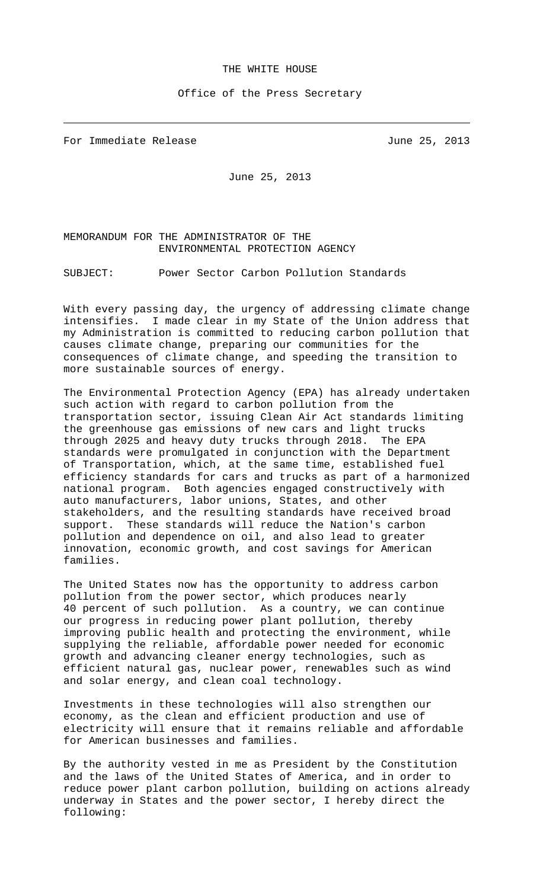## THE WHITE HOUSE

Office of the Press Secretary

For Immediate Release and the Second State State June 25, 2013

 $\overline{\phantom{0}}$ 

June 25, 2013

MEMORANDUM FOR THE ADMINISTRATOR OF THE ENVIRONMENTAL PROTECTION AGENCY

SUBJECT: Power Sector Carbon Pollution Standards

With every passing day, the urgency of addressing climate change intensifies. I made clear in my State of the Union address that my Administration is committed to reducing carbon pollution that causes climate change, preparing our communities for the consequences of climate change, and speeding the transition to more sustainable sources of energy.

The Environmental Protection Agency (EPA) has already undertaken such action with regard to carbon pollution from the transportation sector, issuing Clean Air Act standards limiting the greenhouse gas emissions of new cars and light trucks through 2025 and heavy duty trucks through 2018. The EPA standards were promulgated in conjunction with the Department of Transportation, which, at the same time, established fuel efficiency standards for cars and trucks as part of a harmonized national program. Both agencies engaged constructively with auto manufacturers, labor unions, States, and other stakeholders, and the resulting standards have received broad support. These standards will reduce the Nation's carbon pollution and dependence on oil, and also lead to greater innovation, economic growth, and cost savings for American families.

The United States now has the opportunity to address carbon pollution from the power sector, which produces nearly 40 percent of such pollution. As a country, we can continue our progress in reducing power plant pollution, thereby improving public health and protecting the environment, while supplying the reliable, affordable power needed for economic growth and advancing cleaner energy technologies, such as efficient natural gas, nuclear power, renewables such as wind and solar energy, and clean coal technology.

Investments in these technologies will also strengthen our economy, as the clean and efficient production and use of electricity will ensure that it remains reliable and affordable for American businesses and families.

By the authority vested in me as President by the Constitution and the laws of the United States of America, and in order to reduce power plant carbon pollution, building on actions already underway in States and the power sector, I hereby direct the following: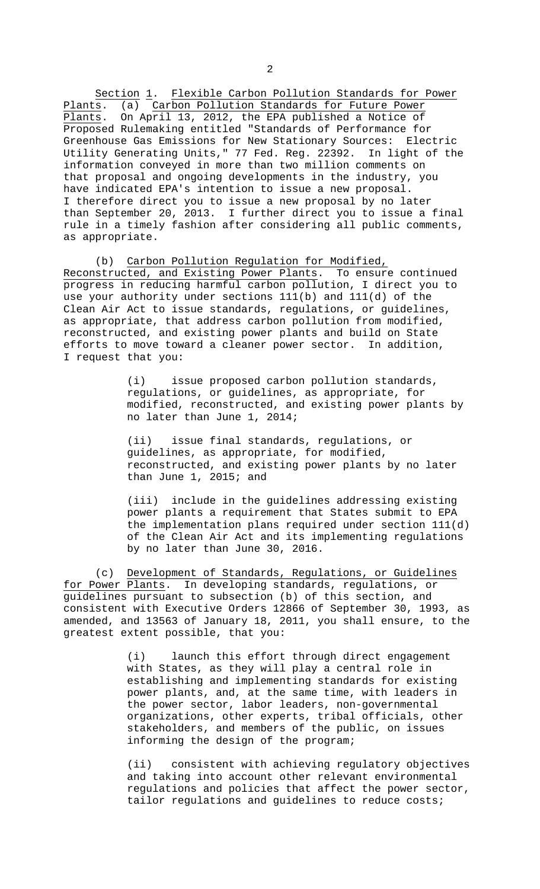Section 1. Flexible Carbon Pollution Standards for Power Plants. (a) Carbon Pollution Standards for Future Power Plants. On April 13, 2012, the EPA published a Notice of Proposed Rulemaking entitled "Standards of Performance for Greenhouse Gas Emissions for New Stationary Sources: Electric Utility Generating Units," 77 Fed. Reg. 22392. In light of the information conveyed in more than two million comments on that proposal and ongoing developments in the industry, you have indicated EPA's intention to issue a new proposal. I therefore direct you to issue a new proposal by no later than September 20, 2013. I further direct you to issue a final rule in a timely fashion after considering all public comments, as appropriate.

(b) Carbon Pollution Regulation for Modified, Reconstructed, and Existing Power Plants. To ensure continued progress in reducing harmful carbon pollution, I direct you to use your authority under sections 111(b) and 111(d) of the Clean Air Act to issue standards, regulations, or guidelines, as appropriate, that address carbon pollution from modified, reconstructed, and existing power plants and build on State efforts to move toward a cleaner power sector. In addition, I request that you:

> (i) issue proposed carbon pollution standards, regulations, or guidelines, as appropriate, for modified, reconstructed, and existing power plants by no later than June 1, 2014;

(ii) issue final standards, regulations, or guidelines, as appropriate, for modified, reconstructed, and existing power plants by no later than June 1, 2015; and

(iii) include in the guidelines addressing existing power plants a requirement that States submit to EPA the implementation plans required under section 111(d) of the Clean Air Act and its implementing regulations by no later than June 30, 2016.

(c) Development of Standards, Regulations, or Guidelines for Power Plants. In developing standards, regulations, or guidelines pursuant to subsection (b) of this section, and consistent with Executive Orders 12866 of September 30, 1993, as amended, and 13563 of January 18, 2011, you shall ensure, to the greatest extent possible, that you:

> (i) launch this effort through direct engagement with States, as they will play a central role in establishing and implementing standards for existing power plants, and, at the same time, with leaders in the power sector, labor leaders, non-governmental organizations, other experts, tribal officials, other stakeholders, and members of the public, on issues informing the design of the program;

(ii) consistent with achieving regulatory objectives and taking into account other relevant environmental regulations and policies that affect the power sector, tailor regulations and guidelines to reduce costs;